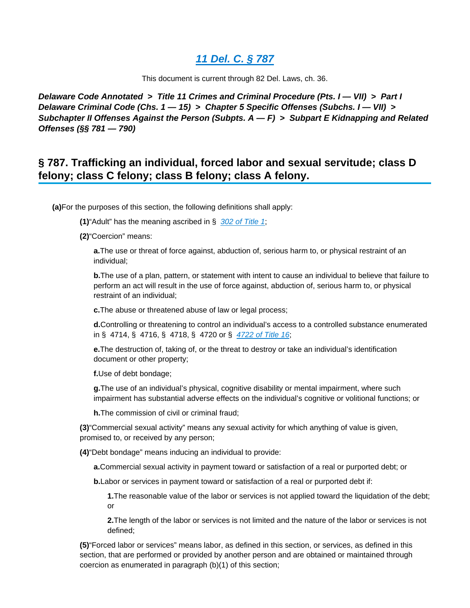# **[11 Del. C. § 787](https://advance.lexis.com/api/document?collection=statutes-legislation&id=urn:contentItem:8S4J-VVP2-D6RV-H0YN-00000-00&context=)**

This document is current through 82 Del. Laws, ch. 36.

**Delaware Code Annotated > Title 11 Crimes and Criminal Procedure (Pts. I — VII) > Part I Delaware Criminal Code (Chs. 1 — 15) > Chapter 5 Specific Offenses (Subchs. I — VII) > Subchapter II Offenses Against the Person (Subpts. A — F) > Subpart E Kidnapping and Related Offenses (§§ 781 — 790)**

# **§ 787. Trafficking an individual, forced labor and sexual servitude; class D felony; class C felony; class B felony; class A felony.**

**(a)**For the purposes of this section, the following definitions shall apply:

**(1)**"Adult" has the meaning ascribed in § [302 of Title 1](https://advance.lexis.com/api/document?collection=statutes-legislation&id=urn:contentItem:5JHW-8XD1-DYB7-W34Y-00000-00&context=);

**(2)**"Coercion" means:

**a.**The use or threat of force against, abduction of, serious harm to, or physical restraint of an individual;

**b.**The use of a plan, pattern, or statement with intent to cause an individual to believe that failure to perform an act will result in the use of force against, abduction of, serious harm to, or physical restraint of an individual;

**c.**The abuse or threatened abuse of law or legal process;

**d.**Controlling or threatening to control an individual's access to a controlled substance enumerated in § 4714, § 4716, § 4718, § 4720 or § [4722 of Title 16](https://advance.lexis.com/api/document?collection=statutes-legislation&id=urn:contentItem:8R9F-X142-D6RV-H3WD-00000-00&context=);

**e.**The destruction of, taking of, or the threat to destroy or take an individual's identification document or other property;

**f.**Use of debt bondage;

**g.**The use of an individual's physical, cognitive disability or mental impairment, where such impairment has substantial adverse effects on the individual's cognitive or volitional functions; or

**h.**The commission of civil or criminal fraud;

**(3)**"Commercial sexual activity" means any sexual activity for which anything of value is given, promised to, or received by any person;

**(4)**"Debt bondage" means inducing an individual to provide:

**a.**Commercial sexual activity in payment toward or satisfaction of a real or purported debt; or

**b.**Labor or services in payment toward or satisfaction of a real or purported debt if:

**1.**The reasonable value of the labor or services is not applied toward the liquidation of the debt; or

**2.**The length of the labor or services is not limited and the nature of the labor or services is not defined;

**(5)**"Forced labor or services" means labor, as defined in this section, or services, as defined in this section, that are performed or provided by another person and are obtained or maintained through coercion as enumerated in paragraph (b)(1) of this section;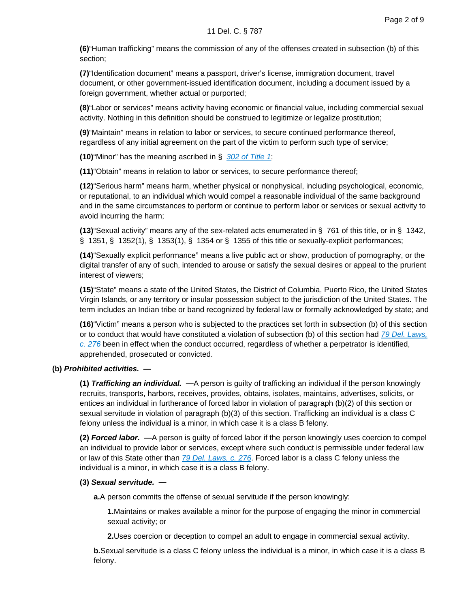**(6)**"Human trafficking" means the commission of any of the offenses created in subsection (b) of this section;

**(7)**"Identification document" means a passport, driver's license, immigration document, travel document, or other government-issued identification document, including a document issued by a foreign government, whether actual or purported;

**(8)**"Labor or services" means activity having economic or financial value, including commercial sexual activity. Nothing in this definition should be construed to legitimize or legalize prostitution;

**(9)**"Maintain" means in relation to labor or services, to secure continued performance thereof, regardless of any initial agreement on the part of the victim to perform such type of service;

**(10)**"Minor" has the meaning ascribed in § [302 of Title 1](https://advance.lexis.com/api/document?collection=statutes-legislation&id=urn:contentItem:5JHW-8XD1-DYB7-W34Y-00000-00&context=);

**(11)**"Obtain" means in relation to labor or services, to secure performance thereof;

**(12)**"Serious harm" means harm, whether physical or nonphysical, including psychological, economic, or reputational, to an individual which would compel a reasonable individual of the same background and in the same circumstances to perform or continue to perform labor or services or sexual activity to avoid incurring the harm;

**(13)**"Sexual activity" means any of the sex-related acts enumerated in § 761 of this title, or in § 1342, § 1351, § 1352(1), § 1353(1), § 1354 or § 1355 of this title or sexually-explicit performances;

**(14)**"Sexually explicit performance" means a live public act or show, production of pornography, or the digital transfer of any of such, intended to arouse or satisfy the sexual desires or appeal to the prurient interest of viewers;

**(15)**"State" means a state of the United States, the District of Columbia, Puerto Rico, the United States Virgin Islands, or any territory or insular possession subject to the jurisdiction of the United States. The term includes an Indian tribe or band recognized by federal law or formally acknowledged by state; and

**(16)**"Victim" means a person who is subjected to the practices set forth in subsection (b) of this section or to conduct that would have constituted a violation of subsection (b) of this section had 79 Del. Laws,  $c. 276$  been in effect when the conduct occurred, regardless of whether a perpetrator is identified, apprehended, prosecuted or convicted.

### **(b) Prohibited activities. —**

**(1) Trafficking an individual. —**A person is guilty of trafficking an individual if the person knowingly recruits, transports, harbors, receives, provides, obtains, isolates, maintains, advertises, solicits, or entices an individual in furtherance of forced labor in violation of paragraph (b)(2) of this section or sexual servitude in violation of paragraph (b)(3) of this section. Trafficking an individual is a class C felony unless the individual is a minor, in which case it is a class B felony.

**(2) Forced labor. —**A person is guilty of forced labor if the person knowingly uses coercion to compel an individual to provide labor or services, except where such conduct is permissible under federal law or law of this State other than [79 Del. Laws, c. 276](https://advance.lexis.com/api/document?collection=statutes-legislation&id=urn:contentItem:5DX6-JD91-DY1N-02DV-00000-00&context=). Forced labor is a class C felony unless the individual is a minor, in which case it is a class B felony.

### **(3) Sexual servitude. —**

**a.**A person commits the offense of sexual servitude if the person knowingly:

**1.**Maintains or makes available a minor for the purpose of engaging the minor in commercial sexual activity; or

**2.**Uses coercion or deception to compel an adult to engage in commercial sexual activity.

**b.**Sexual servitude is a class C felony unless the individual is a minor, in which case it is a class B felony.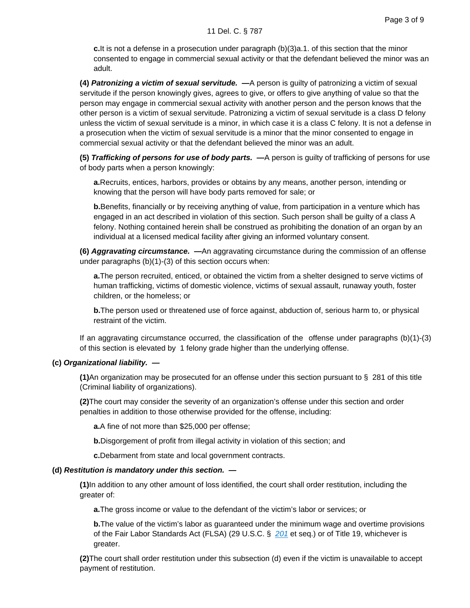**c.**It is not a defense in a prosecution under paragraph (b)(3)a.1. of this section that the minor consented to engage in commercial sexual activity or that the defendant believed the minor was an adult.

**(4) Patronizing a victim of sexual servitude. —**A person is guilty of patronizing a victim of sexual servitude if the person knowingly gives, agrees to give, or offers to give anything of value so that the person may engage in commercial sexual activity with another person and the person knows that the other person is a victim of sexual servitude. Patronizing a victim of sexual servitude is a class D felony unless the victim of sexual servitude is a minor, in which case it is a class C felony. It is not a defense in a prosecution when the victim of sexual servitude is a minor that the minor consented to engage in commercial sexual activity or that the defendant believed the minor was an adult.

**(5) Trafficking of persons for use of body parts. —**A person is guilty of trafficking of persons for use of body parts when a person knowingly:

**a.**Recruits, entices, harbors, provides or obtains by any means, another person, intending or knowing that the person will have body parts removed for sale; or

**b.**Benefits, financially or by receiving anything of value, from participation in a venture which has engaged in an act described in violation of this section. Such person shall be guilty of a class A felony. Nothing contained herein shall be construed as prohibiting the donation of an organ by an individual at a licensed medical facility after giving an informed voluntary consent.

**(6) Aggravating circumstance. —**An aggravating circumstance during the commission of an offense under paragraphs (b)(1)-(3) of this section occurs when:

**a.**The person recruited, enticed, or obtained the victim from a shelter designed to serve victims of human trafficking, victims of domestic violence, victims of sexual assault, runaway youth, foster children, or the homeless; or

**b.**The person used or threatened use of force against, abduction of, serious harm to, or physical restraint of the victim.

If an aggravating circumstance occurred, the classification of the offense under paragraphs (b)(1)-(3) of this section is elevated by 1 felony grade higher than the underlying offense.

### **(c) Organizational liability. —**

**(1)**An organization may be prosecuted for an offense under this section pursuant to § 281 of this title (Criminal liability of organizations).

**(2)**The court may consider the severity of an organization's offense under this section and order penalties in addition to those otherwise provided for the offense, including:

**a.**A fine of not more than \$25,000 per offense;

**b.**Disgorgement of profit from illegal activity in violation of this section; and

**c.**Debarment from state and local government contracts.

### **(d) Restitution is mandatory under this section. —**

**(1)**In addition to any other amount of loss identified, the court shall order restitution, including the greater of:

**a.**The gross income or value to the defendant of the victim's labor or services; or

**b.**The value of the victim's labor as guaranteed under the minimum wage and overtime provisions of the Fair Labor Standards Act (FLSA) ([29 U.S.C. §](https://advance.lexis.com/api/document?collection=statutes-legislation&id=urn:contentItem:4YF7-GRY1-NRF4-42MH-00000-00&context=) 201 et seq.) or of Title 19, whichever is greater.

**(2)**The court shall order restitution under this subsection (d) even if the victim is unavailable to accept payment of restitution.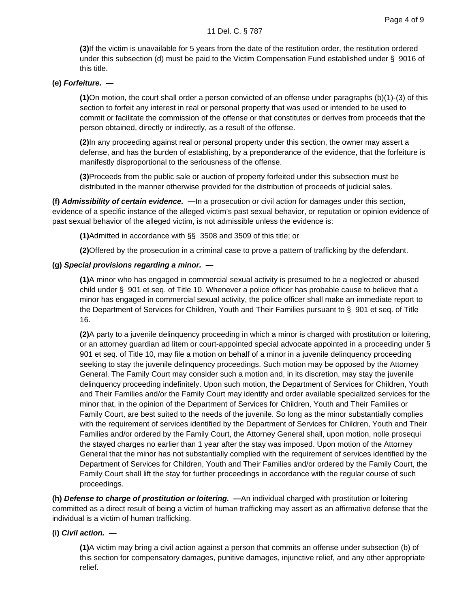**(3)**If the victim is unavailable for 5 years from the date of the restitution order, the restitution ordered under this subsection (d) must be paid to the Victim Compensation Fund established under § 9016 of this title.

# **(e) Forfeiture. —**

**(1)**On motion, the court shall order a person convicted of an offense under paragraphs (b)(1)-(3) of this section to forfeit any interest in real or personal property that was used or intended to be used to commit or facilitate the commission of the offense or that constitutes or derives from proceeds that the person obtained, directly or indirectly, as a result of the offense.

**(2)**In any proceeding against real or personal property under this section, the owner may assert a defense, and has the burden of establishing, by a preponderance of the evidence, that the forfeiture is manifestly disproportional to the seriousness of the offense.

**(3)**Proceeds from the public sale or auction of property forfeited under this subsection must be distributed in the manner otherwise provided for the distribution of proceeds of judicial sales.

**(f) Admissibility of certain evidence. —**In a prosecution or civil action for damages under this section, evidence of a specific instance of the alleged victim's past sexual behavior, or reputation or opinion evidence of past sexual behavior of the alleged victim, is not admissible unless the evidence is:

**(1)**Admitted in accordance with §§ 3508 and 3509 of this title; or

**(2)**Offered by the prosecution in a criminal case to prove a pattern of trafficking by the defendant.

## **(g) Special provisions regarding a minor. —**

**(1)**A minor who has engaged in commercial sexual activity is presumed to be a neglected or abused child under § 901 et seq. of Title 10. Whenever a police officer has probable cause to believe that a minor has engaged in commercial sexual activity, the police officer shall make an immediate report to the Department of Services for Children, Youth and Their Families pursuant to § 901 et seq. of Title 16.

**(2)**A party to a juvenile delinquency proceeding in which a minor is charged with prostitution or loitering, or an attorney guardian ad litem or court-appointed special advocate appointed in a proceeding under § 901 et seq. of Title 10, may file a motion on behalf of a minor in a juvenile delinquency proceeding seeking to stay the juvenile delinquency proceedings. Such motion may be opposed by the Attorney General. The Family Court may consider such a motion and, in its discretion, may stay the juvenile delinquency proceeding indefinitely. Upon such motion, the Department of Services for Children, Youth and Their Families and/or the Family Court may identify and order available specialized services for the minor that, in the opinion of the Department of Services for Children, Youth and Their Families or Family Court, are best suited to the needs of the juvenile. So long as the minor substantially complies with the requirement of services identified by the Department of Services for Children, Youth and Their Families and/or ordered by the Family Court, the Attorney General shall, upon motion, nolle prosequi the stayed charges no earlier than 1 year after the stay was imposed. Upon motion of the Attorney General that the minor has not substantially complied with the requirement of services identified by the Department of Services for Children, Youth and Their Families and/or ordered by the Family Court, the Family Court shall lift the stay for further proceedings in accordance with the regular course of such proceedings.

**(h) Defense to charge of prostitution or loitering. —**An individual charged with prostitution or loitering committed as a direct result of being a victim of human trafficking may assert as an affirmative defense that the individual is a victim of human trafficking.

### **(i) Civil action. —**

**(1)**A victim may bring a civil action against a person that commits an offense under subsection (b) of this section for compensatory damages, punitive damages, injunctive relief, and any other appropriate relief.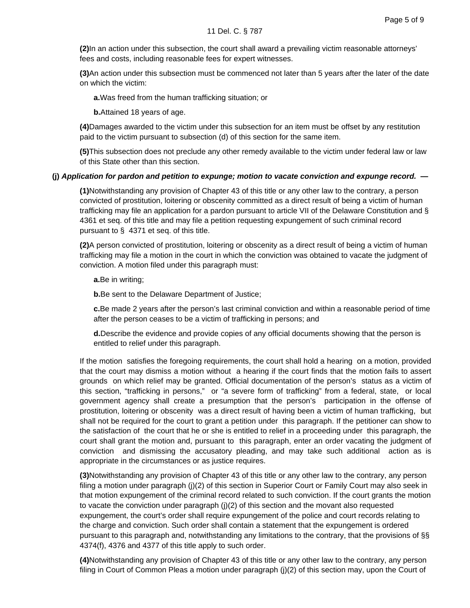**(2)**In an action under this subsection, the court shall award a prevailing victim reasonable attorneys' fees and costs, including reasonable fees for expert witnesses.

**(3)**An action under this subsection must be commenced not later than 5 years after the later of the date on which the victim:

**a.**Was freed from the human trafficking situation; or

**b.**Attained 18 years of age.

**(4)**Damages awarded to the victim under this subsection for an item must be offset by any restitution paid to the victim pursuant to subsection (d) of this section for the same item.

**(5)**This subsection does not preclude any other remedy available to the victim under federal law or law of this State other than this section.

## **(j) Application for pardon and petition to expunge; motion to vacate conviction and expunge record. —**

**(1)**Notwithstanding any provision of Chapter 43 of this title or any other law to the contrary, a person convicted of prostitution, loitering or obscenity committed as a direct result of being a victim of human trafficking may file an application for a pardon pursuant to article VII of the Delaware Constitution and § 4361 et seq. of this title and may file a petition requesting expungement of such criminal record pursuant to § 4371 et seq. of this title.

**(2)**A person convicted of prostitution, loitering or obscenity as a direct result of being a victim of human trafficking may file a motion in the court in which the conviction was obtained to vacate the judgment of conviction. A motion filed under this paragraph must:

**a.**Be in writing;

**b.**Be sent to the Delaware Department of Justice;

**c.**Be made 2 years after the person's last criminal conviction and within a reasonable period of time after the person ceases to be a victim of trafficking in persons; and

**d.**Describe the evidence and provide copies of any official documents showing that the person is entitled to relief under this paragraph.

If the motion satisfies the foregoing requirements, the court shall hold a hearing on a motion, provided that the court may dismiss a motion without a hearing if the court finds that the motion fails to assert grounds on which relief may be granted. Official documentation of the person's status as a victim of this section, "trafficking in persons," or "a severe form of trafficking" from a federal, state, or local government agency shall create a presumption that the person's participation in the offense of prostitution, loitering or obscenity was a direct result of having been a victim of human trafficking, but shall not be required for the court to grant a petition under this paragraph. If the petitioner can show to the satisfaction of the court that he or she is entitled to relief in a proceeding under this paragraph, the court shall grant the motion and, pursuant to this paragraph, enter an order vacating the judgment of conviction and dismissing the accusatory pleading, and may take such additional action as is appropriate in the circumstances or as justice requires.

**(3)**Notwithstanding any provision of Chapter 43 of this title or any other law to the contrary, any person filing a motion under paragraph (j)(2) of this section in Superior Court or Family Court may also seek in that motion expungement of the criminal record related to such conviction. If the court grants the motion to vacate the conviction under paragraph (j)(2) of this section and the movant also requested expungement, the court's order shall require expungement of the police and court records relating to the charge and conviction. Such order shall contain a statement that the expungement is ordered pursuant to this paragraph and, notwithstanding any limitations to the contrary, that the provisions of §§ 4374(f), 4376 and 4377 of this title apply to such order.

**(4)**Notwithstanding any provision of Chapter 43 of this title or any other law to the contrary, any person filing in Court of Common Pleas a motion under paragraph (j)(2) of this section may, upon the Court of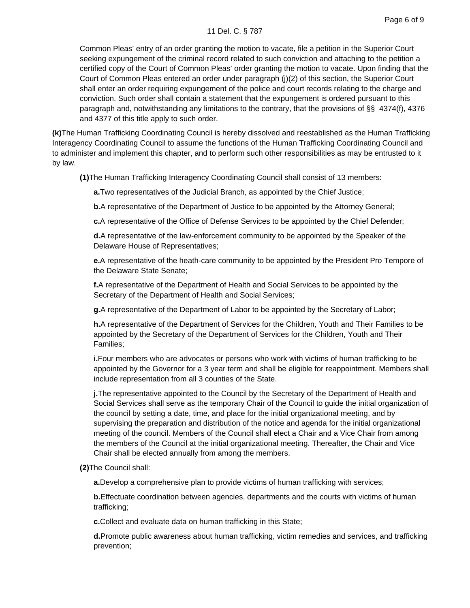Common Pleas' entry of an order granting the motion to vacate, file a petition in the Superior Court seeking expungement of the criminal record related to such conviction and attaching to the petition a certified copy of the Court of Common Pleas' order granting the motion to vacate. Upon finding that the Court of Common Pleas entered an order under paragraph (j)(2) of this section, the Superior Court shall enter an order requiring expungement of the police and court records relating to the charge and conviction. Such order shall contain a statement that the expungement is ordered pursuant to this paragraph and, notwithstanding any limitations to the contrary, that the provisions of §§ 4374(f), 4376 and 4377 of this title apply to such order.

**(k)**The Human Trafficking Coordinating Council is hereby dissolved and reestablished as the Human Trafficking Interagency Coordinating Council to assume the functions of the Human Trafficking Coordinating Council and to administer and implement this chapter, and to perform such other responsibilities as may be entrusted to it by law.

**(1)**The Human Trafficking Interagency Coordinating Council shall consist of 13 members:

**a.**Two representatives of the Judicial Branch, as appointed by the Chief Justice;

**b.**A representative of the Department of Justice to be appointed by the Attorney General;

**c.**A representative of the Office of Defense Services to be appointed by the Chief Defender;

**d.**A representative of the law-enforcement community to be appointed by the Speaker of the Delaware House of Representatives;

**e.**A representative of the heath-care community to be appointed by the President Pro Tempore of the Delaware State Senate;

**f.**A representative of the Department of Health and Social Services to be appointed by the Secretary of the Department of Health and Social Services;

**g.**A representative of the Department of Labor to be appointed by the Secretary of Labor;

**h.**A representative of the Department of Services for the Children, Youth and Their Families to be appointed by the Secretary of the Department of Services for the Children, Youth and Their Families;

**i.**Four members who are advocates or persons who work with victims of human trafficking to be appointed by the Governor for a 3 year term and shall be eligible for reappointment. Members shall include representation from all 3 counties of the State.

**j.**The representative appointed to the Council by the Secretary of the Department of Health and Social Services shall serve as the temporary Chair of the Council to guide the initial organization of the council by setting a date, time, and place for the initial organizational meeting, and by supervising the preparation and distribution of the notice and agenda for the initial organizational meeting of the council. Members of the Council shall elect a Chair and a Vice Chair from among the members of the Council at the initial organizational meeting. Thereafter, the Chair and Vice Chair shall be elected annually from among the members.

**(2)**The Council shall:

**a.**Develop a comprehensive plan to provide victims of human trafficking with services;

**b.**Effectuate coordination between agencies, departments and the courts with victims of human trafficking;

**c.**Collect and evaluate data on human trafficking in this State;

**d.**Promote public awareness about human trafficking, victim remedies and services, and trafficking prevention;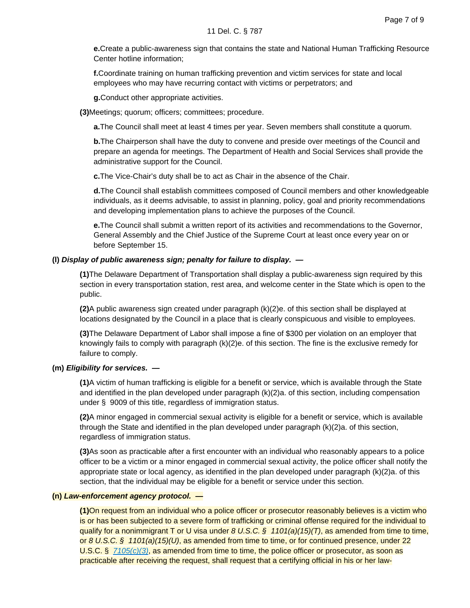**e.**Create a public-awareness sign that contains the state and National Human Trafficking Resource Center hotline information;

**f.**Coordinate training on human trafficking prevention and victim services for state and local employees who may have recurring contact with victims or perpetrators; and

**g.**Conduct other appropriate activities.

**(3)**Meetings; quorum; officers; committees; procedure.

**a.**The Council shall meet at least 4 times per year. Seven members shall constitute a quorum.

**b.**The Chairperson shall have the duty to convene and preside over meetings of the Council and prepare an agenda for meetings. The Department of Health and Social Services shall provide the administrative support for the Council.

**c.**The Vice-Chair's duty shall be to act as Chair in the absence of the Chair.

**d.**The Council shall establish committees composed of Council members and other knowledgeable individuals, as it deems advisable, to assist in planning, policy, goal and priority recommendations and developing implementation plans to achieve the purposes of the Council.

**e.**The Council shall submit a written report of its activities and recommendations to the Governor, General Assembly and the Chief Justice of the Supreme Court at least once every year on or before September 15.

## **(l) Display of public awareness sign; penalty for failure to display. —**

**(1)**The Delaware Department of Transportation shall display a public-awareness sign required by this section in every transportation station, rest area, and welcome center in the State which is open to the public.

**(2)**A public awareness sign created under paragraph (k)(2)e. of this section shall be displayed at locations designated by the Council in a place that is clearly conspicuous and visible to employees.

**(3)**The Delaware Department of Labor shall impose a fine of \$300 per violation on an employer that knowingly fails to comply with paragraph (k)(2)e. of this section. The fine is the exclusive remedy for failure to comply.

# **(m) Eligibility for services. —**

**(1)**A victim of human trafficking is eligible for a benefit or service, which is available through the State and identified in the plan developed under paragraph (k)(2)a. of this section, including compensation under § 9009 of this title, regardless of immigration status.

**(2)**A minor engaged in commercial sexual activity is eligible for a benefit or service, which is available through the State and identified in the plan developed under paragraph (k)(2)a. of this section, regardless of immigration status.

**(3)**As soon as practicable after a first encounter with an individual who reasonably appears to a police officer to be a victim or a minor engaged in commercial sexual activity, the police officer shall notify the appropriate state or local agency, as identified in the plan developed under paragraph (k)(2)a. of this section, that the individual may be eligible for a benefit or service under this section.

### **(n) Law-enforcement agency protocol. —**

**(1)**On request from an individual who a police officer or prosecutor reasonably believes is a victim who is or has been subjected to a severe form of trafficking or criminal offense required for the individual to qualify for a nonimmigrant T or U visa under 8 U.S.C. § 1101(a)(15)(T), as amended from time to time, or 8 U.S.C. § 1101(a)(15)(U), as amended from time to time, or for continued presence, under 22 U.S.C. § [7105\(c\)\(3\)](https://advance.lexis.com/api/document?collection=statutes-legislation&id=urn:contentItem:4YF7-GSG1-NRF4-42N5-00000-00&context=), as amended from time to time, the police officer or prosecutor, as soon as practicable after receiving the request, shall request that a certifying official in his or her law